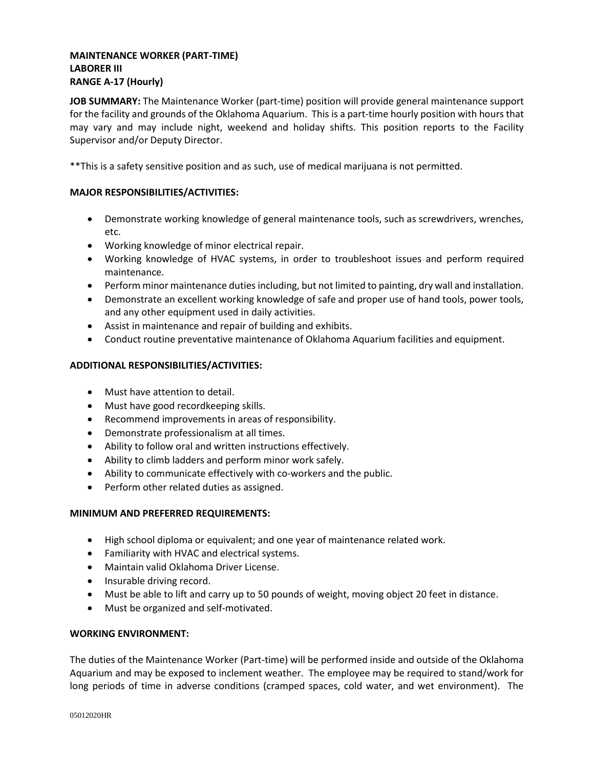## **MAINTENANCE WORKER (PART-TIME) LABORER III RANGE A-17 (Hourly)**

**JOB SUMMARY:** The Maintenance Worker (part-time) position will provide general maintenance support for the facility and grounds of the Oklahoma Aquarium. This is a part-time hourly position with hours that may vary and may include night, weekend and holiday shifts. This position reports to the Facility Supervisor and/or Deputy Director.

\*\*This is a safety sensitive position and as such, use of medical marijuana is not permitted.

## **MAJOR RESPONSIBILITIES/ACTIVITIES:**

- Demonstrate working knowledge of general maintenance tools, such as screwdrivers, wrenches, etc.
- Working knowledge of minor electrical repair.
- Working knowledge of HVAC systems, in order to troubleshoot issues and perform required maintenance.
- Perform minor maintenance duties including, but not limited to painting, dry wall and installation.
- Demonstrate an excellent working knowledge of safe and proper use of hand tools, power tools, and any other equipment used in daily activities.
- Assist in maintenance and repair of building and exhibits.
- Conduct routine preventative maintenance of Oklahoma Aquarium facilities and equipment.

# **ADDITIONAL RESPONSIBILITIES/ACTIVITIES:**

- Must have attention to detail.
- Must have good recordkeeping skills.
- Recommend improvements in areas of responsibility.
- Demonstrate professionalism at all times.
- Ability to follow oral and written instructions effectively.
- Ability to climb ladders and perform minor work safely.
- Ability to communicate effectively with co-workers and the public.
- Perform other related duties as assigned.

## **MINIMUM AND PREFERRED REQUIREMENTS:**

- High school diploma or equivalent; and one year of maintenance related work.
- Familiarity with HVAC and electrical systems.
- Maintain valid Oklahoma Driver License.
- Insurable driving record.
- Must be able to lift and carry up to 50 pounds of weight, moving object 20 feet in distance.
- Must be organized and self-motivated.

## **WORKING ENVIRONMENT:**

The duties of the Maintenance Worker (Part-time) will be performed inside and outside of the Oklahoma Aquarium and may be exposed to inclement weather. The employee may be required to stand/work for long periods of time in adverse conditions (cramped spaces, cold water, and wet environment). The